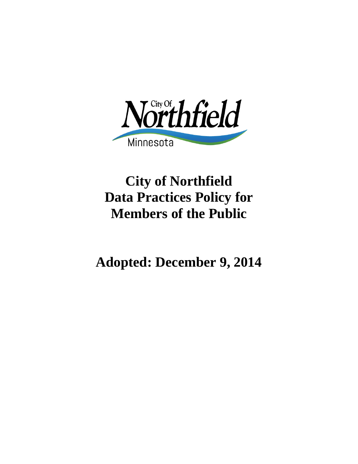

# **City of Northfield Data Practices Policy for Members of the Public**

**Adopted: December 9, 2014**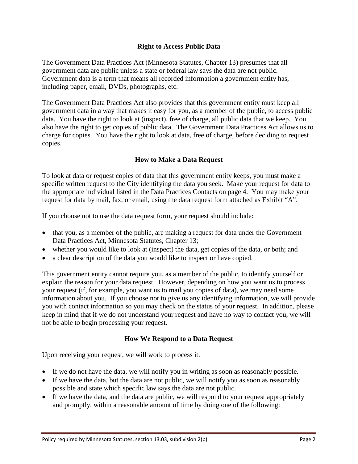# **Right to Access Public Data**

The Government Data Practices Act (Minnesota Statutes, Chapter 13) presumes that all government data are public unless a state or federal law says the data are not public. Government data is a term that means all recorded information a government entity has, including paper, email, DVDs, photographs, etc.

The Government Data Practices Act also provides that this government entity must keep all government data in a way that makes it easy for you, as a member of the public, to access public data. You have the right to look at (inspect), free of charge, all public data that we keep. You also have the right to get copies of public data. The Government Data Practices Act allows us to charge for copies. You have the right to look at data, free of charge, before deciding to request copies.

# **How to Make a Data Request**

To look at data or request copies of data that this government entity keeps, you must make a specific written request to the City identifying the data you seek. Make your request for data to the appropriate individual listed in the Data Practices Contacts on page 4. You may make your request for data by mail, fax, or email, using the data request form attached as Exhibit "A".

If you choose not to use the data request form, your request should include:

- that you, as a member of the public, are making a request for data under the Government Data Practices Act, Minnesota Statutes, Chapter 13;
- whether you would like to look at (inspect) the data, get copies of the data, or both; and
- a clear description of the data you would like to inspect or have copied.

This government entity cannot require you, as a member of the public, to identify yourself or explain the reason for your data request. However, depending on how you want us to process your request (if, for example, you want us to mail you copies of data), we may need some information about you. If you choose not to give us any identifying information, we will provide you with contact information so you may check on the status of your request. In addition, please keep in mind that if we do not understand your request and have no way to contact you, we will not be able to begin processing your request.

# **How We Respond to a Data Request**

Upon receiving your request, we will work to process it.

- If we do not have the data, we will notify you in writing as soon as reasonably possible.
- If we have the data, but the data are not public, we will notify you as soon as reasonably possible and state which specific law says the data are not public.
- If we have the data, and the data are public, we will respond to your request appropriately and promptly, within a reasonable amount of time by doing one of the following: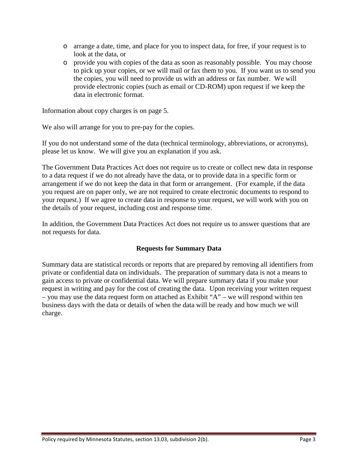- o arrange a date, time, and place for you to inspect data, for free, if your request is to look at the data, or
- o provide you with copies of the data as soon as reasonably possible. You may choose to pick up your copies, or we will mail or fax them to you. If you want us to send you the copies, you will need to provide us with an address or fax number. We will provide electronic copies (such as email or CD-ROM) upon request if we keep the data in electronic format.

Information about copy charges is on page 5.

We also will arrange for you to pre-pay for the copies.

If you do not understand some of the data (technical terminology, abbreviations, or acronyms), please let us know. We will give you an explanation if you ask.

The Government Data Practices Act does not require us to create or collect new data in response to a data request if we do not already have the data, or to provide data in a specific form or arrangement if we do not keep the data in that form or arrangement. (For example, if the data you request are on paper only, we are not required to create electronic documents to respond to your request.) If we agree to create data in response to your request, we will work with you on the details of your request, including cost and response time.

In addition, the Government Data Practices Act does not require us to answer questions that are not requests for data.

# **Requests for Summary Data**

Summary data are statistical records or reports that are prepared by removing all identifiers from private or confidential data on individuals. The preparation of summary data is not a means to gain access to private or confidential data. We will prepare summary data if you make your request in writing and pay for the cost of creating the data. Upon receiving your written request – you may use the data request form on attached as Exhibit "A" – we will respond within ten business days with the data or details of when the data will be ready and how much we will charge.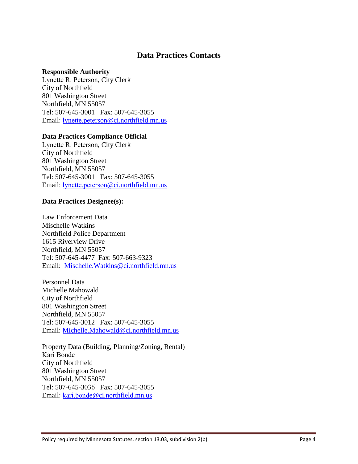# **Data Practices Contacts**

#### **Responsible Authority**

Lynette R. Peterson, City Clerk City of Northfield 801 Washington Street Northfield, MN 55057 Tel: 507-645-3001 Fax: 507-645-3055 Email: lynette.peterson[@ci.northfield.m](mailto:Deb.Little@ci.northfield.mn.us)n.us

#### **Data Practices Compliance Official**

Lynette R. Peterson, City Clerk City of Northfield 801 Washington Street Northfield, MN 55057 Tel: 507-645-3001 Fax: 507-645-3055 Email: lynette.peterson[@ci.northfield.m](mailto:Deb.Little@ci.northfield.mn.us)n.us

#### **Data Practices Designee(s):**

Law Enforcement Data Mischelle Watkins Northfield Police Department 1615 Riverview Drive Northfield, MN 55057 Tel: 507-645-4477 Fax: 507-663-9323 Email: [Mischelle.Watkins@ci.northfield.mn.us](mailto:Mischelle.Watkins@ci.northfield.mn.us)

Personnel Data Michelle Mahowald City of Northfield 801 Washington Street Northfield, MN 55057 Tel: 507-645-3012 Fax: 507-645-3055 Email: [Michelle.Mahowald@ci.northfield.mn.us](mailto:Michelle.Mahowald@ci.northfield.mn.us)

Property Data (Building, Planning/Zoning, Rental) Kari Bonde City of Northfield 801 Washington Street Northfield, MN 55057 Tel: 507-645-3036 Fax: 507-645-3055 Email: kari.bonde[@ci.northfield.mn.us](mailto:Mikayla.Fischer@ci.northfield.mn.us)